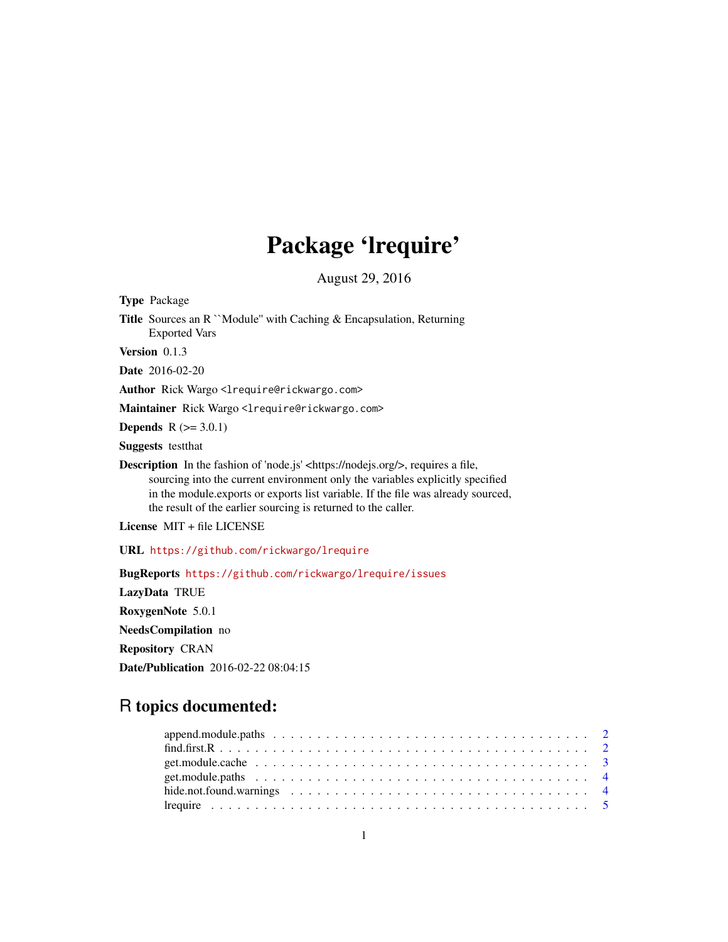## Package 'lrequire'

August 29, 2016

Type Package

Title Sources an R ``Module'' with Caching & Encapsulation, Returning Exported Vars

Version 0.1.3

Date 2016-02-20

Author Rick Wargo <lrequire@rickwargo.com>

Maintainer Rick Wargo <lrequire@rickwargo.com>

**Depends**  $R$  ( $>= 3.0.1$ )

Suggests testthat

Description In the fashion of 'node.js' <https://nodejs.org/>, requires a file, sourcing into the current environment only the variables explicitly specified in the module.exports or exports list variable. If the file was already sourced, the result of the earlier sourcing is returned to the caller.

License MIT + file LICENSE

URL <https://github.com/rickwargo/lrequire>

BugReports <https://github.com/rickwargo/lrequire/issues> LazyData TRUE RoxygenNote 5.0.1 NeedsCompilation no Repository CRAN Date/Publication 2016-02-22 08:04:15

### R topics documented: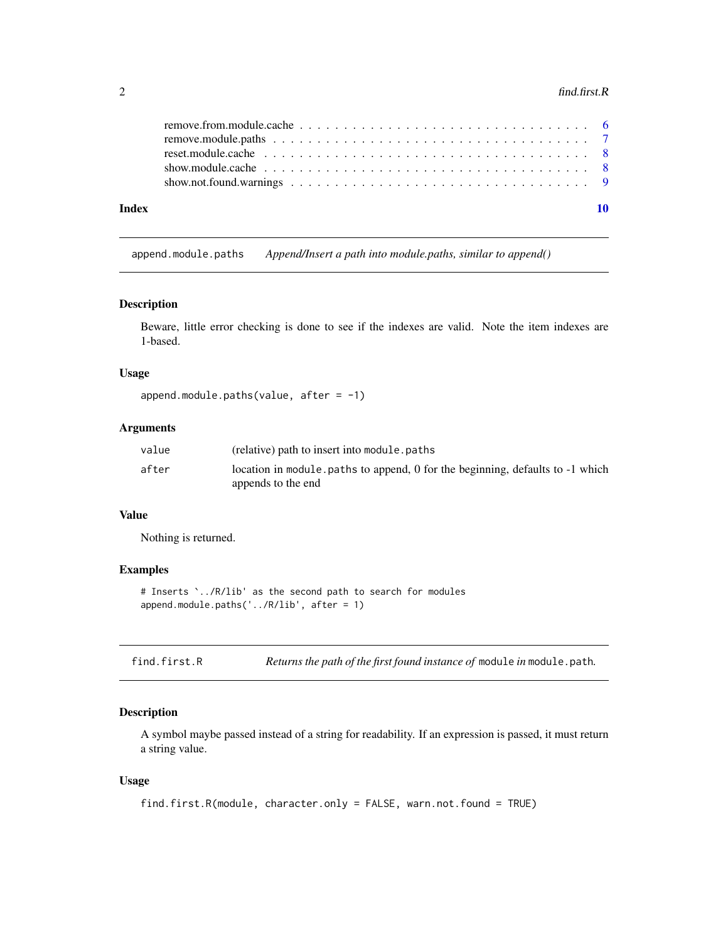#### <span id="page-1-0"></span> $2 \t\t \text{find.} first.}$

| Index |                                                                                                                 |  |
|-------|-----------------------------------------------------------------------------------------------------------------|--|
|       |                                                                                                                 |  |
|       | reset.module.cache $\ldots \ldots \ldots \ldots \ldots \ldots \ldots \ldots \ldots \ldots \ldots \ldots \ldots$ |  |
|       |                                                                                                                 |  |
|       |                                                                                                                 |  |

append.module.paths *Append/Insert a path into module.paths, similar to append()*

#### Description

Beware, little error checking is done to see if the indexes are valid. Note the item indexes are 1-based.

#### Usage

```
append.module.paths(value, after = -1)
```
#### Arguments

| value | (relative) path to insert into module, paths                                  |
|-------|-------------------------------------------------------------------------------|
| after | location in module paths to append, 0 for the beginning, defaults to -1 which |
|       | appends to the end                                                            |

#### Value

Nothing is returned.

#### Examples

```
# Inserts `../R/lib' as the second path to search for modules
append.module.paths('../R/lib', after = 1)
```
<span id="page-1-1"></span>

|  | find.first.R |  |  |  | Returns the path of the first found instance of module in module. path. |  |
|--|--------------|--|--|--|-------------------------------------------------------------------------|--|
|--|--------------|--|--|--|-------------------------------------------------------------------------|--|

#### Description

A symbol maybe passed instead of a string for readability. If an expression is passed, it must return a string value.

#### Usage

```
find.first.R(module, character.only = FALSE, warn.not.found = TRUE)
```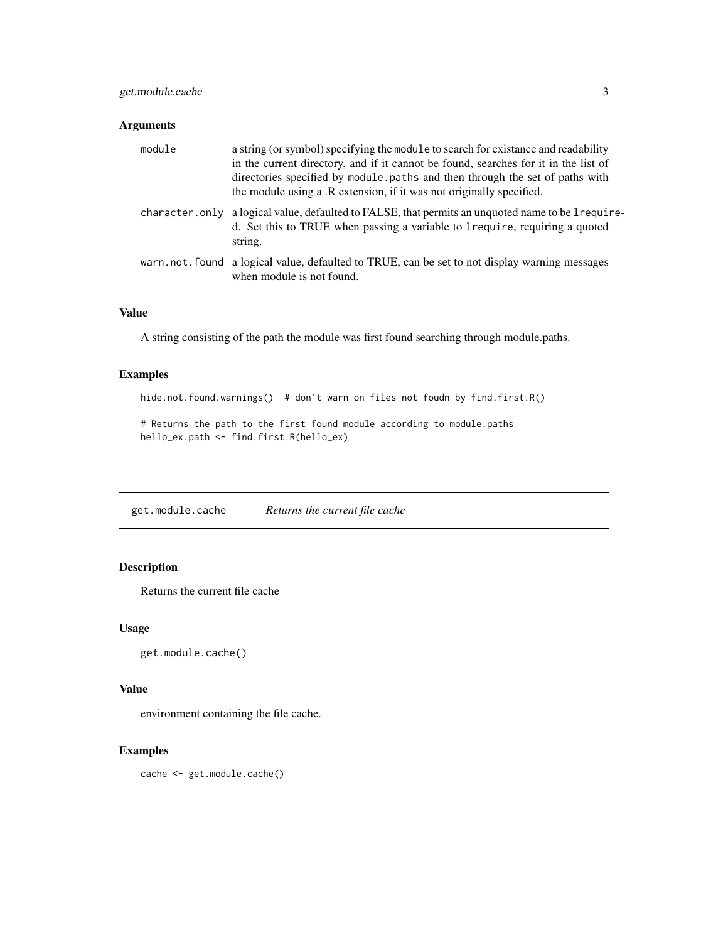#### <span id="page-2-0"></span>Arguments

| module | a string (or symbol) specifying the module to search for existance and readability<br>in the current directory, and if it cannot be found, searches for it in the list of<br>directories specified by module.paths and then through the set of paths with<br>the module using a .R extension, if it was not originally specified. |
|--------|-----------------------------------------------------------------------------------------------------------------------------------------------------------------------------------------------------------------------------------------------------------------------------------------------------------------------------------|
|        | character. only a logical value, defaulted to FALSE, that permits an unquoted name to be lrequire-<br>d. Set this to TRUE when passing a variable to 1 require, requiring a quoted<br>string.                                                                                                                                     |
|        | warn, not, found a logical value, defaulted to TRUE, can be set to not display warning messages<br>when module is not found.                                                                                                                                                                                                      |

#### Value

A string consisting of the path the module was first found searching through module.paths.

#### Examples

hide.not.found.warnings() # don't warn on files not foudn by find.first.R()

# Returns the path to the first found module according to module.paths hello\_ex.path <- find.first.R(hello\_ex)

get.module.cache *Returns the current file cache*

#### Description

Returns the current file cache

#### Usage

```
get.module.cache()
```
#### Value

environment containing the file cache.

#### Examples

cache <- get.module.cache()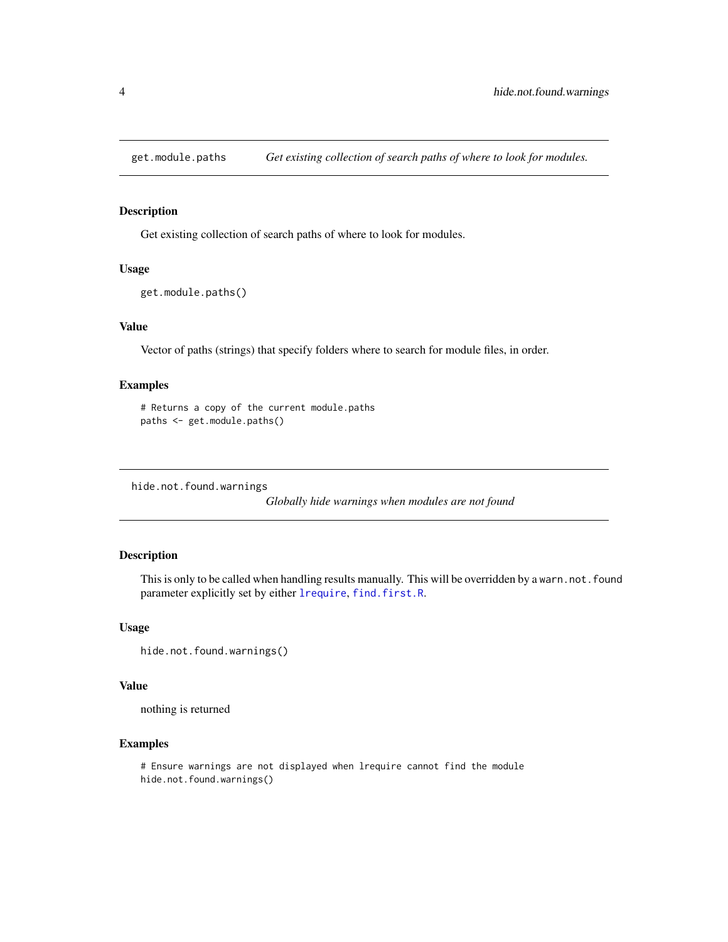<span id="page-3-0"></span>

#### Description

Get existing collection of search paths of where to look for modules.

#### Usage

```
get.module.paths()
```
#### Value

Vector of paths (strings) that specify folders where to search for module files, in order.

#### Examples

```
# Returns a copy of the current module.paths
paths <- get.module.paths()
```
hide.not.found.warnings

*Globally hide warnings when modules are not found*

#### Description

This is only to be called when handling results manually. This will be overridden by a warn.not.found parameter explicitly set by either [lrequire](#page-4-1), [find.first.R](#page-1-1).

#### Usage

```
hide.not.found.warnings()
```
#### Value

nothing is returned

#### Examples

```
# Ensure warnings are not displayed when lrequire cannot find the module
hide.not.found.warnings()
```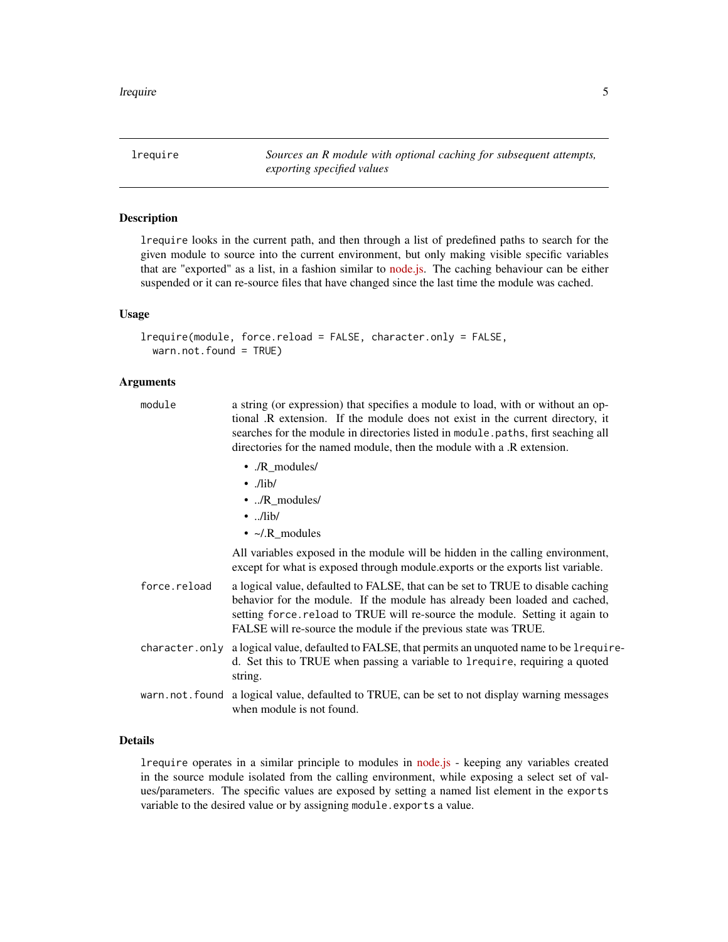<span id="page-4-1"></span><span id="page-4-0"></span>lrequire *Sources an R module with optional caching for subsequent attempts, exporting specified values*

#### Description

lrequire looks in the current path, and then through a list of predefined paths to search for the given module to source into the current environment, but only making visible specific variables that are "exported" as a list, in a fashion similar to [node.js.](https://nodejs.org/) The caching behaviour can be either suspended or it can re-source files that have changed since the last time the module was cached.

#### Usage

```
lrequire(module, force.reload = FALSE, character.only = FALSE,
 warn.not.found = TRUE)
```
#### Arguments

| module         | a string (or expression) that specifies a module to load, with or without an op-<br>tional .R extension. If the module does not exist in the current directory, it<br>searches for the module in directories listed in module paths, first seaching all<br>directories for the named module, then the module with a .R extension. |
|----------------|-----------------------------------------------------------------------------------------------------------------------------------------------------------------------------------------------------------------------------------------------------------------------------------------------------------------------------------|
|                | • ./R_modules/<br>$\cdot$ ./lib/<br>$\cdot$ /R_modules/<br>$\cdot$ /lib/<br>• $\sim$ /.R_modules                                                                                                                                                                                                                                  |
|                | All variables exposed in the module will be hidden in the calling environment,<br>except for what is exposed through module, exports or the exports list variable.                                                                                                                                                                |
| force.reload   | a logical value, defaulted to FALSE, that can be set to TRUE to disable caching<br>behavior for the module. If the module has already been loaded and cached,<br>setting force reload to TRUE will re-source the module. Setting it again to<br>FALSE will re-source the module if the previous state was TRUE.                   |
| character.only | a logical value, defaulted to FALSE, that permits an unquoted name to be 1require-<br>d. Set this to TRUE when passing a variable to 1 require, requiring a quoted<br>string.                                                                                                                                                     |
|                | warn.not.found a logical value, defaulted to TRUE, can be set to not display warning messages<br>when module is not found.                                                                                                                                                                                                        |

#### Details

lrequire operates in a similar principle to modules in [node.js](https://nodejs.org/) - keeping any variables created in the source module isolated from the calling environment, while exposing a select set of values/parameters. The specific values are exposed by setting a named list element in the exports variable to the desired value or by assigning module.exports a value.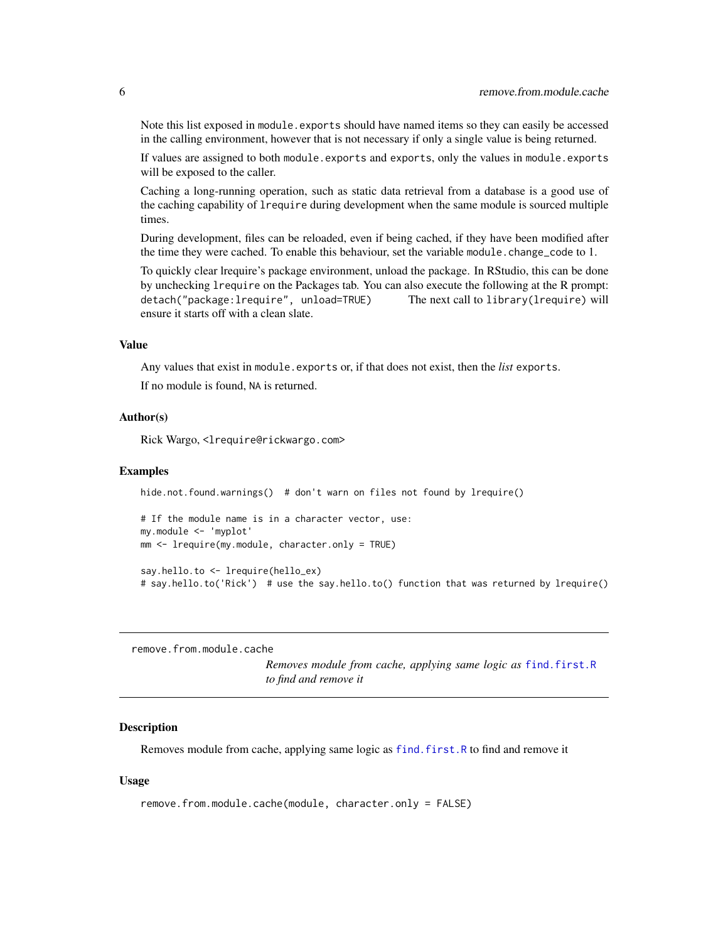<span id="page-5-0"></span>Note this list exposed in module. exports should have named items so they can easily be accessed in the calling environment, however that is not necessary if only a single value is being returned.

If values are assigned to both module.exports and exports, only the values in module.exports will be exposed to the caller.

Caching a long-running operation, such as static data retrieval from a database is a good use of the caching capability of lrequire during development when the same module is sourced multiple times.

During development, files can be reloaded, even if being cached, if they have been modified after the time they were cached. To enable this behaviour, set the variable module.change\_code to 1.

To quickly clear lrequire's package environment, unload the package. In RStudio, this can be done by unchecking lrequire on the Packages tab. You can also execute the following at the R prompt: detach("package:lrequire", unload=TRUE) The next call to library(lrequire) will ensure it starts off with a clean slate.

#### Value

Any values that exist in module.exports or, if that does not exist, then the *list* exports. If no module is found, NA is returned.

#### Author(s)

Rick Wargo, <lrequire@rickwargo.com>

#### Examples

```
hide.not.found.warnings() # don't warn on files not found by lrequire()
# If the module name is in a character vector, use:
my.module <- 'myplot'
mm <- lrequire(my.module, character.only = TRUE)
```
say.hello.to <- lrequire(hello\_ex) # say.hello.to('Rick') # use the say.hello.to() function that was returned by lrequire()

remove.from.module.cache

*Removes module from cache, applying same logic as* [find.first.R](#page-1-1) *to find and remove it*

#### **Description**

Removes module from cache, applying same logic as [find.first.R](#page-1-1) to find and remove it

#### Usage

remove.from.module.cache(module, character.only = FALSE)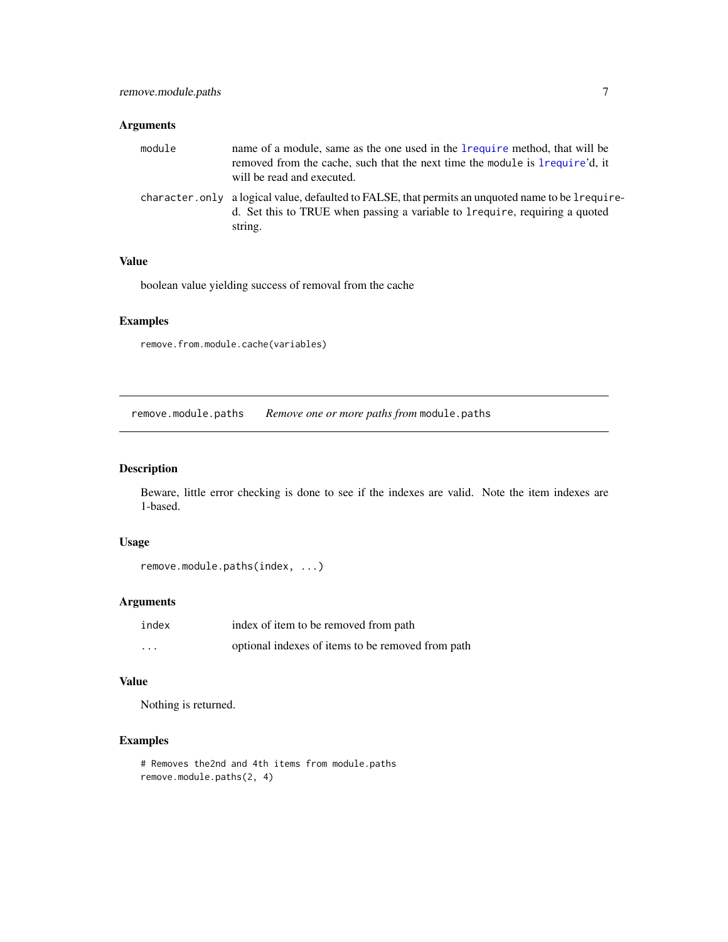#### <span id="page-6-0"></span>Arguments

| module | name of a module, same as the one used in the 1 requirement not had will be<br>removed from the cache, such that the next time the module is lrequire'd, it<br>will be read and executed.     |
|--------|-----------------------------------------------------------------------------------------------------------------------------------------------------------------------------------------------|
|        | character. only a logical value, defaulted to FALSE, that permits an unquoted name to be lrequire-<br>d. Set this to TRUE when passing a variable to 1 require, requiring a quoted<br>string. |

#### Value

boolean value yielding success of removal from the cache

#### Examples

remove.from.module.cache(variables)

remove.module.paths *Remove one or more paths from* module.paths

#### Description

Beware, little error checking is done to see if the indexes are valid. Note the item indexes are 1-based.

#### Usage

```
remove.module.paths(index, ...)
```
#### Arguments

| index    | index of item to be removed from path             |
|----------|---------------------------------------------------|
| $\cdots$ | optional indexes of items to be removed from path |

#### Value

Nothing is returned.

#### Examples

```
# Removes the2nd and 4th items from module.paths
remove.module.paths(2, 4)
```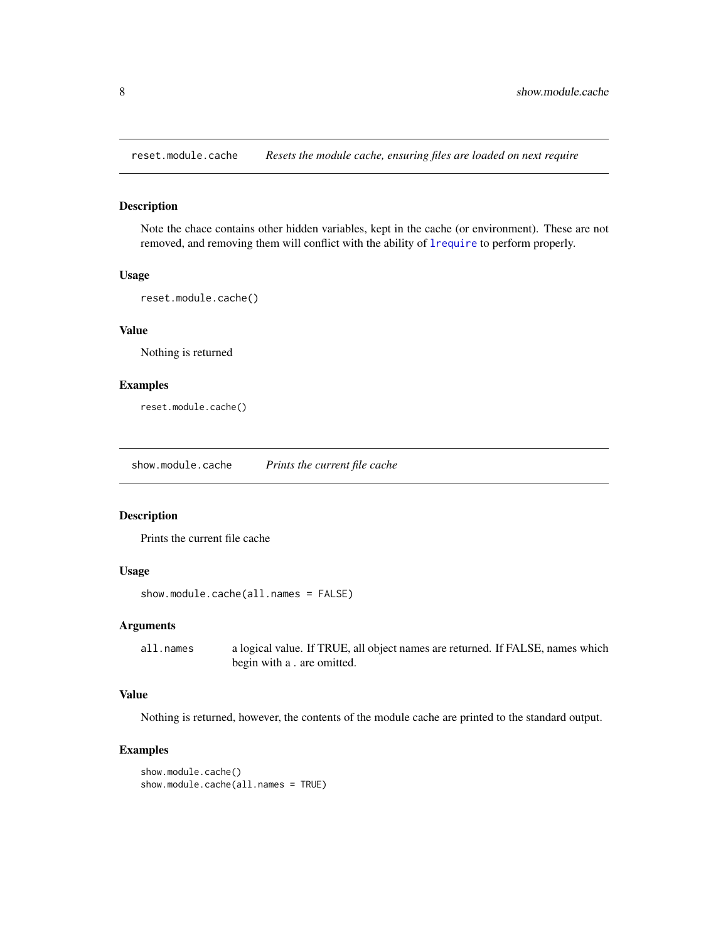<span id="page-7-0"></span>reset.module.cache *Resets the module cache, ensuring files are loaded on next require*

#### Description

Note the chace contains other hidden variables, kept in the cache (or environment). These are not removed, and removing them will conflict with the ability of [lrequire](#page-4-1) to perform properly.

#### Usage

```
reset.module.cache()
```
#### Value

Nothing is returned

#### Examples

reset.module.cache()

show.module.cache *Prints the current file cache*

#### Description

Prints the current file cache

#### Usage

```
show.module.cache(all.names = FALSE)
```
#### Arguments

all.names a logical value. If TRUE, all object names are returned. If FALSE, names which begin with a . are omitted.

#### Value

Nothing is returned, however, the contents of the module cache are printed to the standard output.

#### Examples

```
show.module.cache()
show.module.cache(all.names = TRUE)
```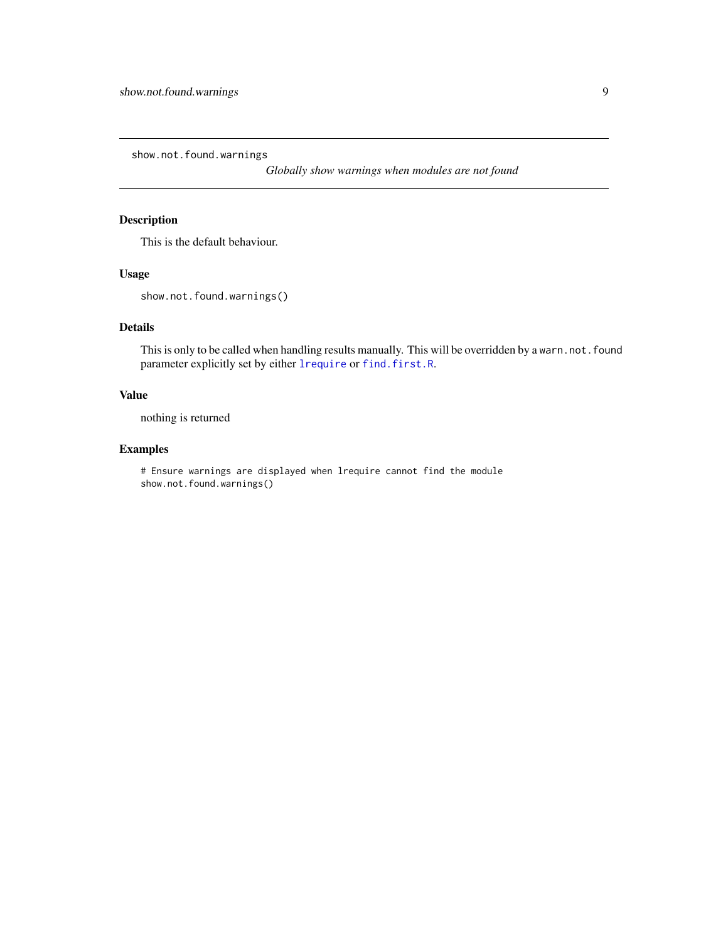<span id="page-8-0"></span>show.not.found.warnings

*Globally show warnings when modules are not found*

#### Description

This is the default behaviour.

#### Usage

show.not.found.warnings()

#### Details

This is only to be called when handling results manually. This will be overridden by a warn.not.found parameter explicitly set by either [lrequire](#page-4-1) or [find.first.R](#page-1-1).

#### Value

nothing is returned

#### Examples

# Ensure warnings are displayed when lrequire cannot find the module show.not.found.warnings()